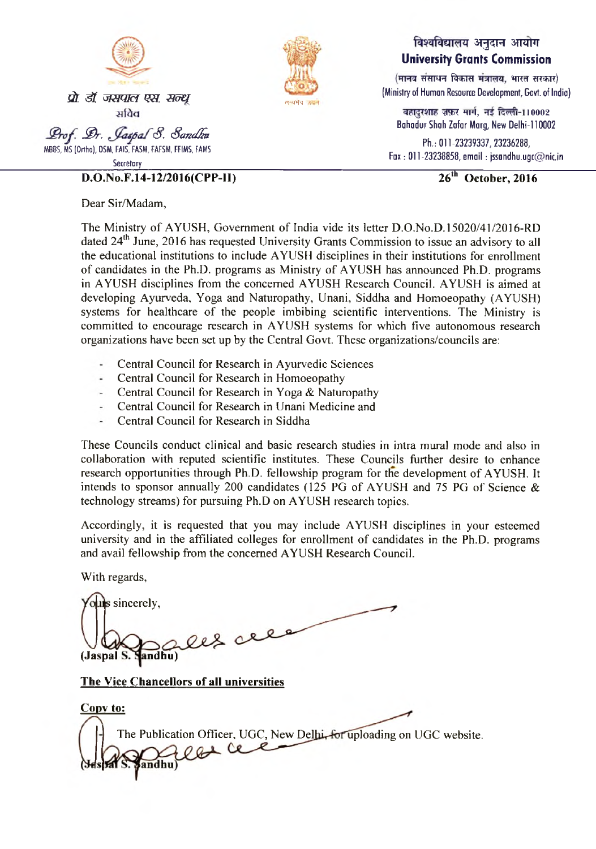



## विश्वविद्यालय अनुदान आयोग **University Grants Commission**

 $(TT)$  (मानव संसाधन विकास मंत्रालय, भारत सरकार) (Ministry of Human Resource Development, Govt, of Indio)

बहादरशाह ज़फ़र मार्ग, नई दिल्ली-110002 Bahadur Shah Zafar Marg, New Delhi-110002

Ph.: 011-23239337, 23236288, Fax: 011-23238858, email: [jssandhu.ugc@nic.in](mailto:jssandhu.ugc@nic.in)

 $\overline{26^{th}$  October, 2016

Dear Sir/Madam,

**MBBS, MS (O rtho ), OSM, FAIS, FASM, FAFSM, FFIMS, FAMS Secretary** 

**D.O.No.F.14-12/2016(CPP-I I)**

The Ministry of AYUSH, Government of India vide its letter D.O.No.D.15020/41/2016-RD dated 24<sup>th</sup> June, 2016 has requested University Grants Commission to issue an advisory to all the educational institutions to include AYUSH disciplines in their institutions for enrollment of candidates in the Ph.D. programs as Ministry of AYUSH has announced Ph.D. programs in AYUSH disciplines from the concerned AYUSH Research Council. AYUSH is aimed at developing Ayurveda, Yoga and Naturopathy, Unani, Siddha and Homoeopathy (AYUSH) systems for healthcare of the people imbibing scientific interventions. The Ministry is committed to encourage research in AYUSH systems for which five autonomous research organizations have been set up by the Central Govt. These organizations/councils are:

- Central Council for Research in Ayurvedic Sciences
- $\overline{a}$ Central Council for Research in Homoeopathy
- Central Council for Research in Yoga  $&$  Naturopathy
- Central Council for Research in Unani Medicine and
- Central Council for Research in Siddha

These Councils conduct clinical and basic research studies in intra mural mode and also in collaboration with reputed scientific institutes. These Councils further desire to enhance research opportunities through Ph.D. fellowship program for the development of AYUSH. It intends to sponsor annually 200 candidates (125 PG of AYUSH and 75 PG of Science  $\&$ technology streams) for pursuing Ph.D on AYUSH research topics.

Accordingly, it is requested that you may include AYUSH disciplines in your esteemed university and in the affiliated colleges for enrollment of candidates in the Ph.D. programs and avail fellowship from the concerned AYUSH Research Council.

With regards,

us sincerely, les del  $(Jaspal S. **Handhu**)$ **The Vice Chancellors of all universities Copy to:** The Publication Officer, UGC, New Delhi, for uploading on UGC website. andhu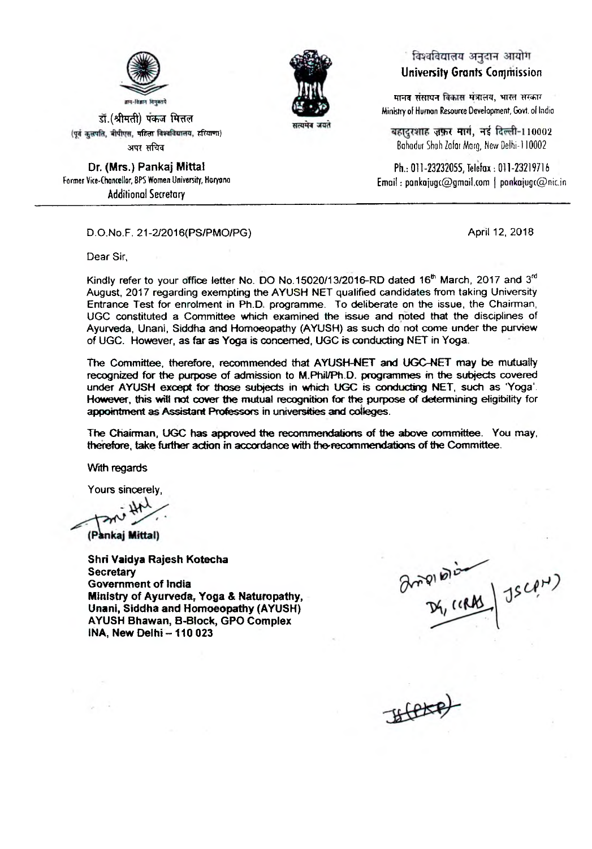

डॉ.(श्रीमती) पंकज मित्तल (पर्व कलपति, बीपीएस, महिला विश्वविद्यालय, हरियाणा) अपर सचिव

Or, (Mrs.) Pankaj Mittal **Former Vice-Chancellor, BPS Women University, Horyona Additional Secretary**



## ं विश्वविद्यालय अनुदान आयोग **University Grants Commission**

मानव संसाधन विकास मंत्रालय, भारत सरकार **Ministry of Humon Resource Development, Govt, of Indio**

बहादरशाह ज़फ़र मार्ग, नई दिल्ली-110002 Bahadur Shah Zafar Marg, New Delhi-110002

**Ph.: 011-23232055, Telefax: 011-23219716 E m ail: [pankajugt@ gmail.com](mailto:pankajugt@gmail.com) | [pankajugc@nic.in](mailto:pankajugc@nic.in)**

D.O.No.F. 21 -2/2016(PS/PMO/PG) **April 12, 2018**

Dear Sir,

Kindly refer to your office letter No. DO No.15020/13/2016-RD dated 16<sup>th</sup> March, 2017 and 3<sup>rd</sup> August, 2017 regarding exempting the AYUSH NET qualified candidates from taking University Entrance Test for enrolment in Ph.D. programme. To deliberate on the issue, the Chairman, UGC constituted a Committee which examined the issue and noted that the disciplines of Ayurveda, Unani, Siddha and Homoeopathy (AYUSH) as such do not come under the purview of UGC. However, as far as Yoga is concerned, UGC is conducting NET in Yoga.

The Committee, therefore, recommended that AYUSH-NET and UGC-NET may be mutually recognized for the purpose of admission to M.Phil/Ph.D. programmes in the subjects covered under AYUSH except for those subjects in which UGC is conducting NET, such as 'Yoga'. However, this will not cover the mutual recognition for the purpose of determining eligibility for appointment as Assistant Professors in universities and colleges.

The Chairman, UGC has approved the recommendations of the above committee. You may, therefore, take farther action in accordance with the-recommendations of the Committee.

With regards

Yours sincerely,

(Pankaj Mittal)

Shri Vaidya Rajesh Kotecha **Secretary** Government of India Ministry of Ayurveda, Yoga & Naturopathy, Unani, Siddha and Homoeopathy (AYUSH) AYUSH Bhawan, B-Block, GPO Complex  $INA$ , New Delhi - 110 023

Brighton Diam